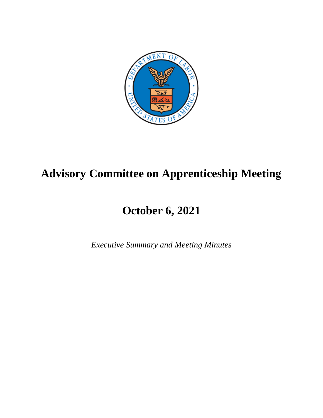

# **Advisory Committee on Apprenticeship Meeting**

# **October 6, 2021**

*Executive Summary and Meeting Minutes*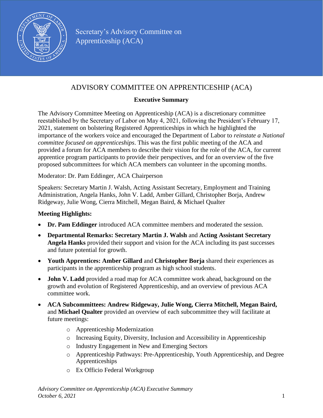

# ADVISORY COMMITTEE ON APPRENTICESHIP (ACA)

#### **Executive Summary**

The Advisory Committee Meeting on Apprenticeship (ACA) is a discretionary committee reestablished by the Secretary of Labor on May 4, 2021, following the President's February 17, 2021, statement on bolstering Registered Apprenticeships in which he highlighted the importance of the workers voice and encouraged the Department of Labor to *reinstate a National committee focused on apprenticeships*. This was the first public meeting of the ACA and provided a forum for ACA members to describe their vision for the role of the ACA, for current apprentice program participants to provide their perspectives, and for an overview of the five proposed subcommittees for which ACA members can volunteer in the upcoming months.

Moderator: Dr. Pam Eddinger, ACA Chairperson

Speakers: Secretary Martin J. Walsh, Acting Assistant Secretary, Employment and Training Administration, Angela Hanks, John V. Ladd, Amber Gillard, Christopher Borja, Andrew Ridgeway, Julie Wong, Cierra Mitchell, Megan Baird, & Michael Qualter

#### **Meeting Highlights:**

- **Dr. Pam Eddinger** introduced ACA committee members and moderated the session.
- **Departmental Remarks: Secretary Martin J. Walsh** and **Acting Assistant Secretary Angela Hanks** provided their support and vision for the ACA including its past successes and future potential for growth.
- **Youth Apprentices: Amber Gillard** and **Christopher Borja** shared their experiences as participants in the apprenticeship program as high school students.
- **John V. Ladd** provided a road map for ACA committee work ahead, background on the growth and evolution of Registered Apprenticeship, and an overview of previous ACA committee work.
- **ACA Subcommittees: Andrew Ridgeway, Julie Wong, Cierra Mitchell, Megan Baird,** and **Michael Qualter** provided an overview of each subcommittee they will facilitate at future meetings:
	- o Apprenticeship Modernization
	- o Increasing Equity, Diversity, Inclusion and Accessibility in Apprenticeship
	- o Industry Engagement in New and Emerging Sectors
	- o Apprenticeship Pathways: Pre-Apprenticeship, Youth Apprenticeship, and Degree Apprenticeships
	- o Ex Officio Federal Workgroup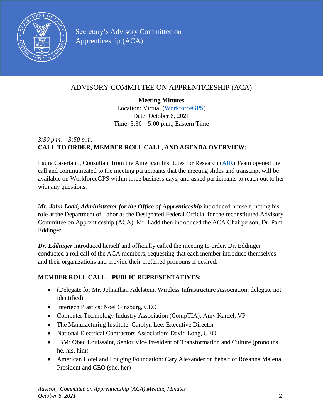

# ADVISORY COMMITTEE ON APPRENTICESHIP (ACA)

**Meeting Minutes**

Location: Virtual [\(WorkforceGPS\)](https://www.workforcegps.org/events/2021/09/13/17/41/Public-Meeting-of-the-Advisory-Committee-on-Apprenticeship-ACA) Date: October 6, 2021 Time: 3:30 – 5:00 p.m., Eastern Time

# *3:30 p.m. – 3:50 p.m.* **CALL TO ORDER, MEMBER ROLL CALL, AND AGENDA OVERVIEW:**

Laura Casertano, Consultant from the American Institutes for Research [\(AIR\)](https://www.air.org/) Team opened the call and communicated to the meeting participants that the meeting slides and transcript will be available on WorkforceGPS within three business days, and asked participants to reach out to her with any questions.

*Mr. John Ladd, Administrator for the Office of Apprenticeship* introduced himself, noting his role at the Department of Labor as the Designated Federal Official for the reconstituted Advisory Committee on Apprenticeship (ACA). Mr. Ladd then introduced the ACA Chairperson, Dr. Pam Eddinger.

*Dr. Eddinger* introduced herself and officially called the meeting to order. Dr. Eddinger conducted a roll call of the ACA members, requesting that each member introduce themselves and their organizations and provide their preferred pronouns if desired.

# **MEMBER ROLL CALL – PUBLIC REPRESENTATIVES:**

- (Delegate for Mr. Johnathan Adelstein, Wireless Infrastructure Association; delegate not identified)
- Intertech Plastics: Noel Ginsburg, CEO
- Computer Technology Industry Association (CompTIA): Amy Kardel, VP
- The Manufacturing Institute: Carolyn Lee, Executive Director
- National Electrical Contractors Association: David Long, CEO
- IBM: Obed Louissaint, Senior Vice President of Transformation and Culture (pronouns he, his, him)
- American Hotel and Lodging Foundation: Cary Alexander on behalf of Rosanna Maietta, President and CEO (she, her)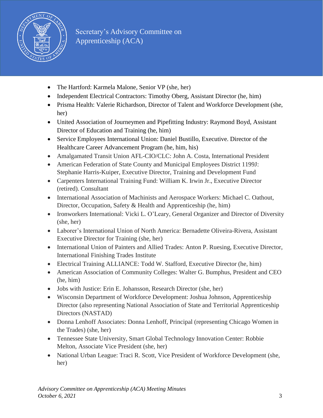

- The Hartford: Karmela Malone, Senior VP (she, her)
- Independent Electrical Contractors: Timothy Oberg, Assistant Director (he, him)
- Prisma Health: Valerie Richardson, Director of Talent and Workforce Development (she, her)
- United Association of Journeymen and Pipefitting Industry: Raymond Boyd, Assistant Director of Education and Training (he, him)
- Service Employees International Union: Daniel Bustillo, Executive. Director of the Healthcare Career Advancement Program (he, him, his)
- Amalgamated Transit Union AFL-CIO/CLC: John A. Costa, International President
- American Federation of State County and Municipal Employees District 1199J: Stephanie Harris-Kuiper, Executive Director, Training and Development Fund
- Carpenters International Training Fund: William K. Irwin Jr., Executive Director (retired). Consultant
- International Association of Machinists and Aerospace Workers: Michael C. Oathout, Director, Occupation, Safety & Health and Apprenticeship (he, him)
- Ironworkers International: Vicki L. O'Leary, General Organizer and Director of Diversity (she, her)
- Laborer's International Union of North America: Bernadette Oliveira-Rivera, Assistant Executive Director for Training (she, her)
- International Union of Painters and Allied Trades: Anton P. Ruesing, Executive Director, International Finishing Trades Institute
- Electrical Training ALLIANCE: Todd W. Stafford, Executive Director (he, him)
- American Association of Community Colleges: Walter G. Bumphus, President and CEO (he, him)
- Jobs with Justice: Erin E. Johansson, Research Director (she, her)
- Wisconsin Department of Workforce Development: Joshua Johnson, Apprenticeship Director (also representing National Association of State and Territorial Apprenticeship Directors (NASTAD)
- Donna Lenhoff Associates: Donna Lenhoff, Principal (representing Chicago Women in the Trades) (she, her)
- Tennessee State University, Smart Global Technology Innovation Center: Robbie Melton, Associate Vice President (she, her)
- National Urban League: Traci R. Scott, Vice President of Workforce Development (she, her)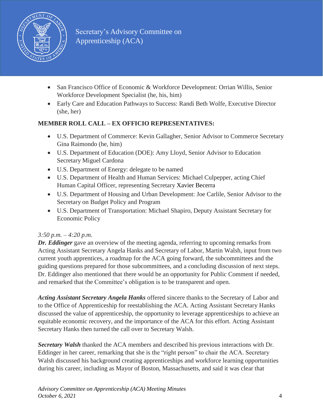

- San Francisco Office of Economic & Workforce Development: Orrian Willis, Senior Workforce Development Specialist (he, his, him)
- Early Care and Education Pathways to Success: Randi Beth Wolfe, Executive Director (she, her)

## **MEMBER ROLL CALL – EX OFFICIO REPRESENTATIVES:**

- U.S. Department of Commerce: Kevin Gallagher, Senior Advisor to Commerce Secretary Gina Raimondo (he, him)
- U.S. Department of Education (DOE): Amy Lloyd, Senior Advisor to Education Secretary Miguel Cardona
- U.S. Department of Energy: delegate to be named
- U.S. Department of Health and Human Services: Michael Culpepper, acting Chief Human Capital Officer, representing Secretary Xavier Becerra
- U.S. Department of Housing and Urban Development: Joe Carlile, Senior Advisor to the Secretary on Budget Policy and Program
- U.S. Department of Transportation: Michael Shapiro, Deputy Assistant Secretary for Economic Policy

#### *3:50 p.m. – 4:20 p.m.*

*Dr. Eddinger* gave an overview of the meeting agenda, referring to upcoming remarks from Acting Assistant Secretary Angela Hanks and Secretary of Labor, Martin Walsh, input from two current youth apprentices, a roadmap for the ACA going forward, the subcommittees and the guiding questions prepared for those subcommittees, and a concluding discussion of next steps. Dr. Eddinger also mentioned that there would be an opportunity for Public Comment if needed, and remarked that the Committee's obligation is to be transparent and open.

*Acting Assistant Secretary Angela Hanks* offered sincere thanks to the Secretary of Labor and to the Office of Apprenticeship for reestablishing the ACA. Acting Assistant Secretary Hanks discussed the value of apprenticeship, the opportunity to leverage apprenticeships to achieve an equitable economic recovery, and the importance of the ACA for this effort. Acting Assistant Secretary Hanks then turned the call over to Secretary Walsh.

*Secretary Walsh* thanked the ACA members and described his previous interactions with Dr. Eddinger in her career, remarking that she is the "right person" to chair the ACA. Secretary Walsh discussed his background creating apprenticeships and workforce learning opportunities during his career, including as Mayor of Boston, Massachusetts, and said it was clear that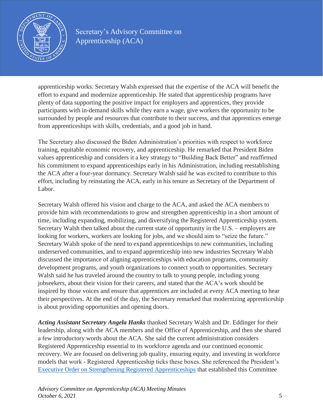

apprenticeship works. Secretary Walsh expressed that the expertise of the ACA will benefit the effort to expand and modernize apprenticeship. He stated that apprenticeship programs have plenty of data supporting the positive impact for employers and apprentices, they provide participants with in-demand skills while they earn a wage, give workers the opportunity to be surrounded by people and resources that contribute to their success, and that apprentices emerge from apprenticeships with skills, credentials, and a good job in hand.

The Secretary also discussed the Biden Administration's priorities with respect to workforce training, equitable economic recovery, and apprenticeship. He remarked that President Biden values apprenticeship and considers it a key strategy to "Building Back Better" and reaffirmed his commitment to expand apprenticeships early in his Administration, including reestablishing the ACA after a four-year dormancy. Secretary Walsh said he was excited to contribute to this effort, including by reinstating the ACA, early in his tenure as Secretary of the Department of Labor.

Secretary Walsh offered his vision and charge to the ACA, and asked the ACA members to provide him with recommendations to grow and strengthen apprenticeship in a short amount of time, including expanding, mobilizing, and diversifying the Registered Apprenticeship system. Secretary Walsh then talked about the current state of opportunity in the U.S. – employers are looking for workers, workers are looking for jobs, and we should aim to "seize the future." Secretary Walsh spoke of the need to expand apprenticeships to new communities, including underserved communities, and to expand apprenticeship into new industries Secretary Walsh discussed the importance of aligning apprenticeships with education programs, community development programs, and youth organizations to connect youth to opportunities. Secretary Walsh said he has traveled around the country to talk to young people, including young jobseekers, about their vision for their careers, and stated that the ACA's work should be inspired by those voices and ensure that apprentices are included at every ACA meeting to hear their perspectives. At the end of the day, the Secretary remarked that modernizing apprenticeship is about providing opportunities and opening doors.

*Acting Assistant Secretary Angela Hanks* thanked Secretary Walsh and Dr. Eddinger for their leadership, along with the ACA members and the Office of Apprenticeship, and then she shared a few introductory words about the ACA. She said the current administration considers Registered Apprenticeship essential to its workforce agenda and our continued economic recovery. We are focused on delivering job quality, ensuring equity, and investing in workforce models that work - Registered Apprenticeship ticks these boxes. She referenced the President's Executive Order on Strengthening Registered [Apprenticeships](https://www.whitehouse.gov/briefing-room/statements-releases/2021/02/17/fact-sheet-biden-administration-to-take-steps-to-bolster-registered-apprenticeships/) that established this Committee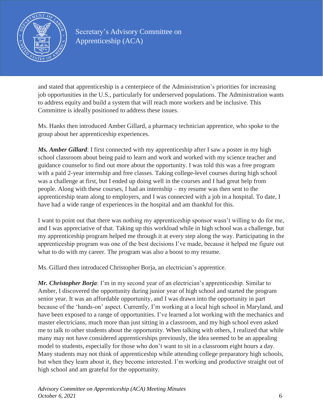

and stated that apprenticeship is a centerpiece of the Administration's priorities for increasing job opportunities in the U.S., particularly for underserved populations. The Administration wants to address equity and build a system that will reach more workers and be inclusive. This Committee is ideally positioned to address these issues.

Ms. Hanks then introduced Amber Gillard, a pharmacy technician apprentice, who spoke to the group about her apprenticeship experiences.

*Ms. Amber Gillard*: I first connected with my apprenticeship after I saw a poster in my high school classroom about being paid to learn and work and worked with my science teacher and guidance counselor to find out more about the opportunity. I was told this was a free program with a paid 2-year internship and free classes. Taking college-level courses during high school was a challenge at first, but I ended up doing well in the courses and I had great help from people. Along with these courses, I had an internship – my resume was then sent to the apprenticeship team along to employers, and I was connected with a job in a hospital. To date, I have had a wide range of experiences in the hospital and am thankful for this.

I want to point out that there was nothing my apprenticeship sponsor wasn't willing to do for me, and I was appreciative of that. Taking up this workload while in high school was a challenge, but my apprenticeship program helped me through it at every step along the way. Participating in the apprenticeship program was one of the best decisions I've made, because it helped me figure out what to do with my career. The program was also a boost to my resume.

Ms. Gillard then introduced Christopher Borja, an electrician's apprentice.

*Mr. Christopher Borja*: I'm in my second year of an electrician's apprenticeship. Similar to Amber, I discovered the opportunity during junior year of high school and started the program senior year. It was an affordable opportunity, and I was drawn into the opportunity in part because of the 'hands-on' aspect. Currently, I'm working at a local high school in Maryland, and have been exposed to a range of opportunities. I've learned a lot working with the mechanics and master electricians, much more than just sitting in a classroom, and my high school even asked me to talk to other students about the opportunity. When talking with others, I realized that while many may not have considered apprenticeships previously, the idea seemed to be an appealing model to students, especially for those who don't want to sit in a classroom eight hours a day. Many students may not think of apprenticeship while attending college preparatory high schools, but when they learn about it, they become interested. I'm working and productive straight out of high school and am grateful for the opportunity.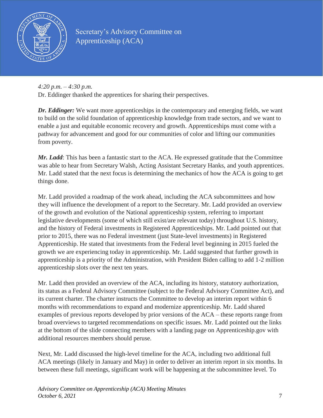

*4:20 p.m. – 4:30 p.m.*

Dr. Eddinger thanked the apprentices for sharing their perspectives.

*Dr. Eddinger:* We want more apprenticeships in the contemporary and emerging fields, we want to build on the solid foundation of apprenticeship knowledge from trade sectors, and we want to enable a just and equitable economic recovery and growth. Apprenticeships must come with a pathway for advancement and good for our communities of color and lifting our communities from poverty.

*Mr. Ladd*: This has been a fantastic start to the ACA. He expressed gratitude that the Committee was able to hear from Secretary Walsh, Acting Assistant Secretary Hanks, and youth apprentices. Mr. Ladd stated that the next focus is determining the mechanics of how the ACA is going to get things done.

Mr. Ladd provided a roadmap of the work ahead, including the ACA subcommittees and how they will influence the development of a report to the Secretary. Mr. Ladd provided an overview of the growth and evolution of the National apprenticeship system, referring to important legislative developments (some of which still exist/are relevant today) throughout U.S. history, and the history of Federal investments in Registered Apprenticeships. Mr. Ladd pointed out that prior to 2015, there was no Federal investment (just State-level investments) in Registered Apprenticeship. He stated that investments from the Federal level beginning in 2015 fueled the growth we are experiencing today in apprenticeship. Mr. Ladd suggested that further growth in apprenticeship is a priority of the Administration, with President Biden calling to add 1-2 million apprenticeship slots over the next ten years.

Mr. Ladd then provided an overview of the ACA, including its history, statutory authorization, its status as a Federal Advisory Committee (subject to the Federal Advisory Committee Act), and its current charter. The charter instructs the Committee to develop an interim report within 6 months with recommendations to expand and modernize apprenticeship. Mr. Ladd shared examples of previous reports developed by prior versions of the ACA – these reports range from broad overviews to targeted recommendations on specific issues. Mr. Ladd pointed out the links at the bottom of the slide connecting members with a landing page on Apprenticeship.gov with additional resources members should peruse.

Next, Mr. Ladd discussed the high-level timeline for the ACA, including two additional full ACA meetings (likely in January and May) in order to deliver an interim report in six months. In between these full meetings, significant work will be happening at the subcommittee level. To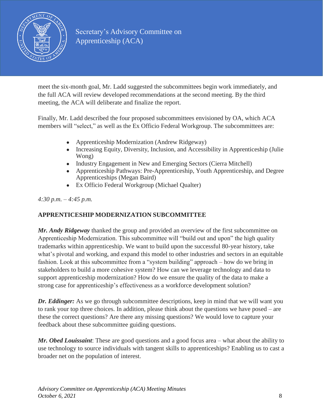

meet the six-month goal, Mr. Ladd suggested the subcommittees begin work immediately, and the full ACA will review developed recommendations at the second meeting. By the third meeting, the ACA will deliberate and finalize the report.

Finally, Mr. Ladd described the four proposed subcommittees envisioned by OA, which ACA members will "select," as well as the Ex Officio Federal Workgroup. The subcommittees are:

- Apprenticeship Modernization (Andrew Ridgeway)
- Increasing Equity, Diversity, Inclusion, and Accessibility in Apprenticeship (Julie) Wong)
- Industry Engagement in New and Emerging Sectors (Cierra Mitchell)
- Apprenticeship Pathways: Pre-Apprenticeship, Youth Apprenticeship, and Degree Apprenticeships (Megan Baird)
- Ex Officio Federal Workgroup (Michael Qualter)

*4:30 p.m. – 4:45 p.m.*

## **APPRENTICESHIP MODERNIZATION SUBCOMMITTEE**

*Mr. Andy Ridgeway* thanked the group and provided an overview of the first subcommittee on Apprenticeship Modernization. This subcommittee will "build out and upon" the high quality trademarks within apprenticeship. We want to build upon the successful 80-year history, take what's pivotal and working, and expand this model to other industries and sectors in an equitable fashion. Look at this subcommittee from a "system building" approach – how do we bring in stakeholders to build a more cohesive system? How can we leverage technology and data to support apprenticeship modernization? How do we ensure the quality of the data to make a strong case for apprenticeship's effectiveness as a workforce development solution?

*Dr. Eddinger:* As we go through subcommittee descriptions, keep in mind that we will want you to rank your top three choices. In addition, please think about the questions we have posed – are these the correct questions? Are there any missing questions? We would love to capture your feedback about these subcommittee guiding questions.

*Mr. Obed Louissaint*: These are good questions and a good focus area – what about the ability to use technology to source individuals with tangent skills to apprenticeships? Enabling us to cast a broader net on the population of interest.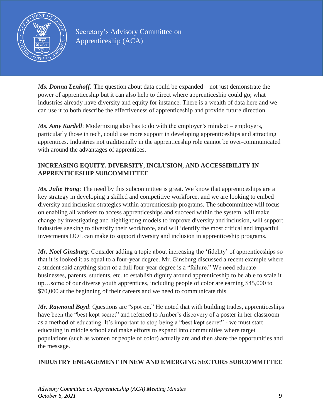

*Ms. Donna Lenhoff:* The question about data could be expanded – not just demonstrate the power of apprenticeship but it can also help to direct where apprenticeship could go; what industries already have diversity and equity for instance. There is a wealth of data here and we can use it to both describe the effectiveness of apprenticeship and provide future direction.

*Ms. Amy Kardell*: Modernizing also has to do with the employer's mindset – employers, particularly those in tech, could use more support in developing apprenticeships and attracting apprentices. Industries not traditionally in the apprenticeship role cannot be over-communicated with around the advantages of apprentices.

#### **INCREASING EQUITY, DIVERSITY, INCLUSION, AND ACCESSIBILITY IN APPRENTICESHIP SUBCOMMITTEE**

*Ms. Julie Wong*: The need by this subcommittee is great. We know that apprenticeships are a key strategy in developing a skilled and competitive workforce, and we are looking to embed diversity and inclusion strategies within apprenticeship programs. The subcommittee will focus on enabling all workers to access apprenticeships and succeed within the system, will make change by investigating and highlighting models to improve diversity and inclusion, will support industries seeking to diversify their workforce, and will identify the most critical and impactful investments DOL can make to support diversity and inclusion in apprenticeship programs.

*Mr. Noel Ginsburg*: Consider adding a topic about increasing the 'fidelity' of apprenticeships so that it is looked it as equal to a four-year degree. Mr. Ginsburg discussed a recent example where a student said anything short of a full four-year degree is a "failure." We need educate businesses, parents, students, etc. to establish dignity around apprenticeship to be able to scale it up…some of our diverse youth apprentices, including people of color are earning \$45,000 to \$70,000 at the beginning of their careers and we need to communicate this.

*Mr. Raymond Boyd*: Questions are "spot on." He noted that with building trades, apprenticeships have been the "best kept secret" and referred to Amber's discovery of a poster in her classroom as a method of educating. It's important to stop being a "best kept secret" - we must start educating in middle school and make efforts to expand into communities where target populations (such as women or people of color) actually are and then share the opportunities and the message.

#### **INDUSTRY ENGAGEMENT IN NEW AND EMERGING SECTORS SUBCOMMITTEE**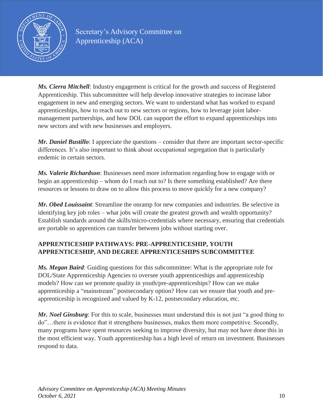

*Ms. Cierra Mitchell*: Industry engagement is critical for the growth and success of Registered Apprenticeship. This subcommittee will help develop innovative strategies to increase labor engagement in new and emerging sectors. We want to understand what has worked to expand apprenticeships, how to reach out to new sectors or regions, how to leverage joint labormanagement partnerships, and how DOL can support the effort to expand apprenticeships into new sectors and with new businesses and employers.

*Mr. Daniel Bustillo*: I appreciate the questions – consider that there are important sector-specific differences. It's also important to think about occupational segregation that is particularly endemic in certain sectors.

*Ms. Valerie Richardson*: Businesses need more information regarding how to engage with or begin an apprenticeship – whom do I reach out to? Is there something established? Are there resources or lessons to draw on to allow this process to move quickly for a new company?

*Mr. Obed Louissaint*: Streamline the onramp for new companies and industries. Be selective in identifying key job roles – what jobs will create the greatest growth and wealth opportunity? Establish standards around the skills/micro-credentials where necessary, ensuring that credentials are portable so apprentices can transfer between jobs without starting over.

## **APPRENTICESHIP PATHWAYS: PRE-APPRENTICESHIP, YOUTH APPRENTICESHIP, AND DEGREE APPRENTICESHIPS SUBCOMMITTEE**

*Ms. Megan Baird*: Guiding questions for this subcommittee: What is the appropriate role for DOL/State Apprenticeship Agencies to oversee youth apprenticeships and apprenticeship models? How can we promote quality in youth/pre-apprenticeships? How can we make apprenticeship a "mainstream" postsecondary option? How can we ensure that youth and preapprenticeship is recognized and valued by K-12, postsecondary education, etc.

*Mr. Noel Ginsburg*: For this to scale, businesses must understand this is not just "a good thing to do"…there is evidence that it strengthens businesses, makes them more competitive. Secondly, many programs have spent resources seeking to improve diversity, but may not have done this in the most efficient way. Youth apprenticeship has a high level of return on investment. Businesses respond to data.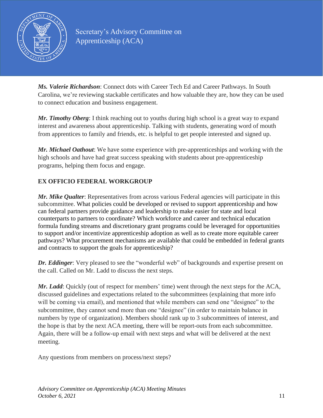

*Ms. Valerie Richardson*: Connect dots with Career Tech Ed and Career Pathways. In South Carolina, we're reviewing stackable certificates and how valuable they are, how they can be used to connect education and business engagement.

*Mr. Timothy Oberg*: I think reaching out to youths during high school is a great way to expand interest and awareness about apprenticeship. Talking with students, generating word of mouth from apprentices to family and friends, etc. is helpful to get people interested and signed up.

*Mr. Michael Oathout*: We have some experience with pre-apprenticeships and working with the high schools and have had great success speaking with students about pre-apprenticeship programs, helping them focus and engage.

## **EX OFFICIO FEDERAL WORKGROUP**

*Mr. Mike Qualter*: Representatives from across various Federal agencies will participate in this subcommittee. What policies could be developed or revised to support apprenticeship and how can federal partners provide guidance and leadership to make easier for state and local counterparts to partners to coordinate? Which workforce and career and technical education formula funding streams and discretionary grant programs could be leveraged for opportunities to support and/or incentivize apprenticeship adoption as well as to create more equitable career pathways? What procurement mechanisms are available that could be embedded in federal grants and contracts to support the goals for apprenticeship?

*Dr. Eddinger*: Very pleased to see the "wonderful web" of backgrounds and expertise present on the call. Called on Mr. Ladd to discuss the next steps.

*Mr. Ladd*: Quickly (out of respect for members' time) went through the next steps for the ACA, discussed guidelines and expectations related to the subcommittees (explaining that more info will be coming via email), and mentioned that while members can send one "designee" to the subcommittee, they cannot send more than one "designee" (in order to maintain balance in numbers by type of organization). Members should rank up to 3 subcommittees of interest, and the hope is that by the next ACA meeting, there will be report-outs from each subcommittee. Again, there will be a follow-up email with next steps and what will be delivered at the next meeting.

Any questions from members on process/next steps?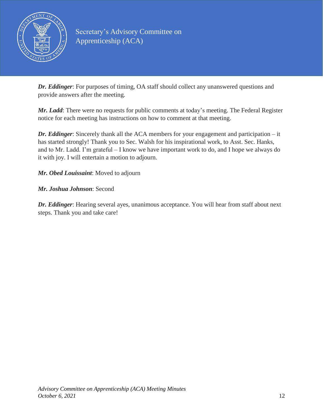

*Dr. Eddinger*: For purposes of timing, OA staff should collect any unanswered questions and provide answers after the meeting.

*Mr. Ladd*: There were no requests for public comments at today's meeting. The Federal Register notice for each meeting has instructions on how to comment at that meeting.

*Dr. Eddinger*: Sincerely thank all the ACA members for your engagement and participation – it has started strongly! Thank you to Sec. Walsh for his inspirational work, to Asst. Sec. Hanks, and to Mr. Ladd. I'm grateful – I know we have important work to do, and I hope we always do it with joy. I will entertain a motion to adjourn.

#### *Mr. Obed Louissaint*: Moved to adjourn

#### *Mr. Joshua Johnson*: Second

*Dr. Eddinger*: Hearing several ayes, unanimous acceptance. You will hear from staff about next steps. Thank you and take care!